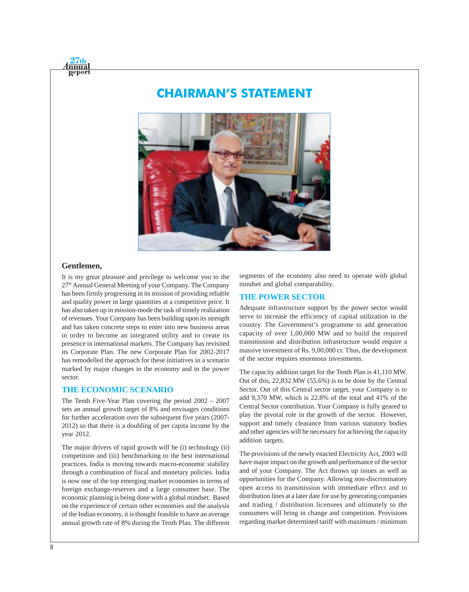# **CHAIRMAN'S STATEMENT**



#### **Gentlemen,**

nnua

It is my great pleasure and privilege to welcome you to the 27th Annual General Meeting of your Company. The Company has been firmly progressing in its mission of providing reliable and quality power in large quantities at a competitive price. It has also taken up in mission-mode the task of timely realization of revenues. Your Company has been building upon its strength and has taken concrete steps to enter into new business areas in order to become an integrated utility and to create its presence in international markets. The Company has revisited its Corporate Plan. The new Corporate Plan for 2002-2017 has remodelled the approach for these initiatives in a scenario marked by major changes in the economy and in the power sector.

#### **THE ECONOMIC SCENARIO**

The Tenth Five-Year Plan covering the period 2002 – 2007 sets an annual growth target of 8% and envisages conditions for further acceleration over the subsequent five years (2007- 2012) so that there is a doubling of per capita income by the year 2012.

The major drivers of rapid growth will be (i) technology (ii) competition and (iii) benchmarking to the best international practices. India is moving towards macro-economic stability through a combination of fiscal and monetary policies. India is now one of the top emerging market economies in terms of foreign exchange-reserves and a large consumer base. The economic planning is being done with a global mindset. Based on the experience of certain other economies and the analysis of the Indian economy, it is thought feasible to have an average annual growth rate of 8% during the Tenth Plan. The different

segments of the economy also need to operate with global mindset and global comparability.

#### **THE POWER SECTOR**

Adequate infrastructure support by the power sector would serve to increase the efficiency of capital utilization in the country. The Government's programme to add generation capacity of over 1,00,000 MW and to build the required transmission and distribution infrastructure would require a massive investment of Rs. 9,00,000 cr. Thus, the development of the sector requires enormous investments.

The capacity addition target for the Tenth Plan is 41,110 MW. Out of this, 22,832 MW (55.6%) is to be done by the Central Sector. Out of this Central sector target, your Company is to add 9,370 MW, which is 22.8% of the total and 41% of the Central Sector contribution. Your Company is fully geared to play the pivotal role in the growth of the sector. However, support and timely clearance from various statutory bodies and other agencies will be necessary for achieving the capacity addition targets.

The provisions of the newly enacted Electricity Act, 2003 will have major impact on the growth and performance of the sector and of your Company. The Act throws up issues as well as opportunities for the Company. Allowing non-discriminatory open access to transmission with immediate effect and to distribution lines at a later date for use by generating companies and trading / distribution licensees and ultimately to the consumers will bring in change and competition. Provisions regarding market determined tariff with maximum / minimum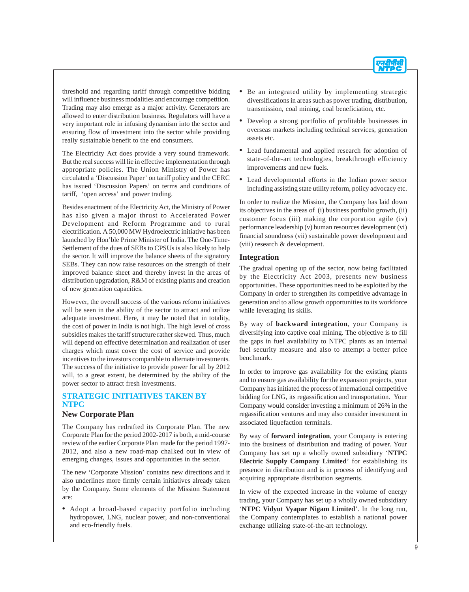

threshold and regarding tariff through competitive bidding will influence business modalities and encourage competition. Trading may also emerge as a major activity. Generators are allowed to enter distribution business. Regulators will have a very important role in infusing dynamism into the sector and ensuring flow of investment into the sector while providing really sustainable benefit to the end consumers.

The Electricity Act does provide a very sound framework. But the real success will lie in effective implementation through appropriate policies. The Union Ministry of Power has circulated a 'Discussion Paper' on tariff policy and the CERC has issued 'Discussion Papers' on terms and conditions of tariff, 'open access' and power trading.

Besides enactment of the Electricity Act, the Ministry of Power has also given a major thrust to Accelerated Power Development and Reform Programme and to rural electrification. A 50,000 MW Hydroelectric initiative has been launched by Hon'ble Prime Minister of India. The One-Time-Settlement of the dues of SEBs to CPSUs is also likely to help the sector. It will improve the balance sheets of the signatory SEBs. They can now raise resources on the strength of their improved balance sheet and thereby invest in the areas of distribution upgradation, R&M of existing plants and creation of new generation capacities.

However, the overall success of the various reform initiatives will be seen in the ability of the sector to attract and utilize adequate investment. Here, it may be noted that in totality, the cost of power in India is not high. The high level of cross subsidies makes the tariff structure rather skewed. Thus, much will depend on effective determination and realization of user charges which must cover the cost of service and provide incentives to the investors comparable to alternate investments. The success of the initiative to provide power for all by 2012 will, to a great extent, be determined by the ability of the power sector to attract fresh investments.

### **STRATEGIC INITIATIVES TAKEN BY NTPC**

#### **New Corporate Plan**

The Company has redrafted its Corporate Plan. The new Corporate Plan for the period 2002-2017 is both, a mid-course review of the earlier Corporate Plan made for the period 1997- 2012, and also a new road-map chalked out in view of emerging changes, issues and opportunities in the sector.

The new 'Corporate Mission' contains new directions and it also underlines more firmly certain initiatives already taken by the Company. Some elements of the Mission Statement are:

**•** Adopt a broad-based capacity portfolio including hydropower, LNG, nuclear power, and non-conventional and eco-friendly fuels.

- **•** Be an integrated utility by implementing strategic diversifications in areas such as power trading, distribution, transmission, coal mining, coal beneficiation, etc.
- **•** Develop a strong portfolio of profitable businesses in overseas markets including technical services, generation assets etc.
- **•** Lead fundamental and applied research for adoption of state-of-the-art technologies, breakthrough efficiency improvements and new fuels.
- **•** Lead developmental efforts in the Indian power sector including assisting state utility reform, policy advocacy etc.

In order to realize the Mission, the Company has laid down its objectives in the areas of (i) business portfolio growth, (ii) customer focus (iii) making the corporation agile (iv) performance leadership (v) human resources development (vi) financial soundness (vii) sustainable power development and (viii) research & development.

#### **Integration**

The gradual opening up of the sector, now being facilitated by the Electricity Act 2003, presents new business opportunities. These opportunities need to be exploited by the Company in order to strengthen its competitive advantage in generation and to allow growth opportunities to its workforce while leveraging its skills.

By way of **backward integration**, your Company is diversifying into captive coal mining. The objective is to fill the gaps in fuel availability to NTPC plants as an internal fuel security measure and also to attempt a better price benchmark.

In order to improve gas availability for the existing plants and to ensure gas availability for the expansion projects, your Company has initiated the process of international competitive bidding for LNG, its regassification and transportation. Your Company would consider investing a minimum of 26% in the regassification ventures and may also consider investment in associated liquefaction terminals.

By way of **forward integration**, your Company is entering into the business of distribution and trading of power. Your Company has set up a wholly owned subsidiary '**NTPC Electric Supply Company Limited**' for establishing its presence in distribution and is in process of identifying and acquiring appropriate distribution segments.

In view of the expected increase in the volume of energy trading, your Company has set up a wholly owned subsidiary '**NTPC Vidyut Vyapar Nigam Limited**'. In the long run, the Company contemplates to establish a national power exchange utilizing state-of-the-art technology.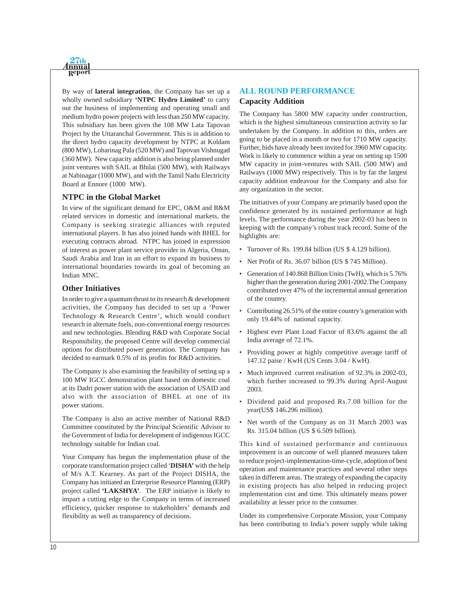

By way of **lateral integration**, the Company has set up a wholly owned subsidiary **'NTPC Hydro Limited'** to carry out the business of implementing and operating small and medium hydro power projects with less than 250 MW capacity. This subsidiary has been given the 108 MW Lata Tapovan Project by the Uttaranchal Government. This is in addition to the direct hydro capacity development by NTPC at Koldam (800 MW), Loharinag Pala (520 MW) and Tapovan Vishnugad (360 MW). New capacity addition is also being planned under joint ventures with SAIL at Bhilai (500 MW), with Railways at Nabinagar (1000 MW), and with the Tamil Nadu Electricity Board at Ennore (1000 MW).

#### **NTPC in the Global Market**

In view of the significant demand for EPC, O&M and R&M related services in domestic and international markets, the Company is seeking strategic alliances with reputed international players. It has also joined hands with BHEL for executing contracts abroad. NTPC has joined in expression of interest as power plant service provider in Algeria, Oman, Saudi Arabia and Iran in an effort to expand its business to international boundaries towards its goal of becoming an Indian MNC.

#### **Other Initiatives**

In order to give a quantum thrust to its research & development activities, the Company has decided to set up a 'Power Technology & Research Centre', which would conduct research in alternate fuels, non-conventional energy resources and new technologies. Blending R&D with Corporate Social Responsibility, the proposed Centre will develop commercial options for distributed power generation. The Company has decided to earmark 0.5% of its profits for R&D activities.

The Company is also examining the feasibility of setting up a 100 MW IGCC demonstration plant based on domestic coal at its Dadri power station with the association of USAID and also with the association of BHEL at one of its power stations.

The Company is also an active member of National R&D Committee constituted by the Principal Scientific Advisor to the Government of India for development of indigenous IGCC technology suitable for Indian coal.

Your Company has begun the implementation phase of the corporate transformation project called '**DISHA'** with the help of M/s A.T. Kearney. As part of the Project DISHA, the Company has initiated an Enterprise Resource Planning (ERP) project called **'LAKSHYA'**. The ERP initiative is likely to impart a cutting edge to the Company in terms of increased efficiency, quicker response to stakeholders' demands and flexibility as well as transparency of decisions.

## **ALL ROUND PERFORMANCE Capacity Addition**

The Company has 5800 MW capacity under construction, which is the highest simultaneous construction activity so far undertaken by the Company. In addition to this, orders are going to be placed in a month or two for 1710 MW capacity. Further, bids have already been invited for 3960 MW capacity. Work is likely to commence within a year on setting up 1500 MW capacity in joint-ventures with SAIL (500 MW) and Railways (1000 MW) respectively. This is by far the largest capacity addition endeavour for the Company and also for any organization in the sector.

The initiatives of your Company are primarily based upon the confidence generated by its sustained performance at high levels. The performance during the year 2002-03 has been in keeping with the company's robust track record. Some of the highlights are:

- Turnover of Rs. 199.84 billion (US \$ 4.129 billion).
- Net Profit of Rs. 36.07 billion (US \$ 745 Million).
- Generation of 140.868 Billion Units (TwH), which is 5.76% higher than the generation during 2001-2002.The Company contributed over 47% of the incremental annual generation of the country.
- Contributing 26.51% of the entire country's generation with only 19.44% of national capacity.
- Highest ever Plant Load Factor of 83.6% against the all India average of 72.1%.
- Providing power at highly competitive average tariff of 147.12 paise / KwH (US Cents 3.04 / KwH).
- Much improved current realisation of 92.3% in 2002-03, which further increased to 99.3% during April-August 2003.
- Dividend paid and proposed Rs.7.08 billion for the year(US\$ 146.296 million).
- Net worth of the Company as on 31 March 2003 was Rs. 315.04 billion (US \$ 6.509 billion).

This kind of sustained performance and continuous improvement is an outcome of well planned measures taken to reduce project-implementation-time-cycle, adoption of best operation and maintenance practices and several other steps taken in different areas. The strategy of expanding the capacity in existing projects has also helped in reducing project implementation cost and time. This ultimately means power availability at lesser price to the consumer.

Under its comprehensive Corporate Mission, your Company has been contributing to India's power supply while taking